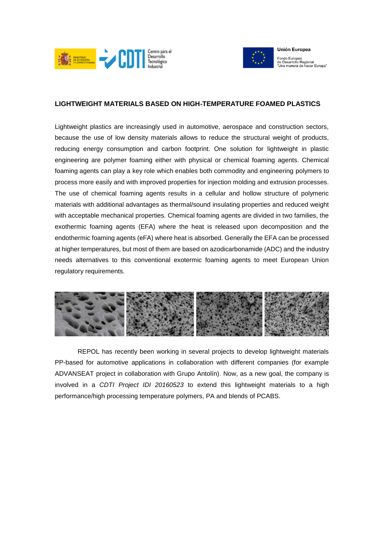



## **LIGHTWEIGHT MATERIALS BASED ON HIGH-TEMPERATURE FOAMED PLASTICS**

Lightweight plastics are increasingly used in automotive, aerospace and construction sectors, because the use of low density materials allows to reduce the structural weight of products, reducing energy consumption and carbon footprint. One solution for lightweight in plastic engineering are polymer foaming either with physical or chemical foaming agents. Chemical foaming agents can play a key role which enables both commodity and engineering polymers to process more easily and with improved properties for injection molding and extrusion processes. The use of chemical foaming agents results in a cellular and hollow structure of polymeric materials with additional advantages as thermal/sound insulating properties and reduced weight with acceptable mechanical properties. Chemical foaming agents are divided in two families, the exothermic foaming agents (EFA) where the heat is released upon decomposition and the endothermic foaming agents (eFA) where heat is absorbed. Generally the EFA can be processed at higher temperatures, but most of them are based on azodicarbonamide (ADC) and the industry needs alternatives to this conventional exotermic foaming agents to meet European Union regulatory requirements.



REPOL has recently been working in several projects to develop lightweight materials PP-based for automotive applications in collaboration with different companies (for example ADVANSEAT project in collaboration with Grupo Antolín). Now, as a new goal, the company is involved in a *CDTI Project IDI 20160523* to extend this lightweight materials to a high performance/high processing temperature polymers, PA and blends of PCABS.